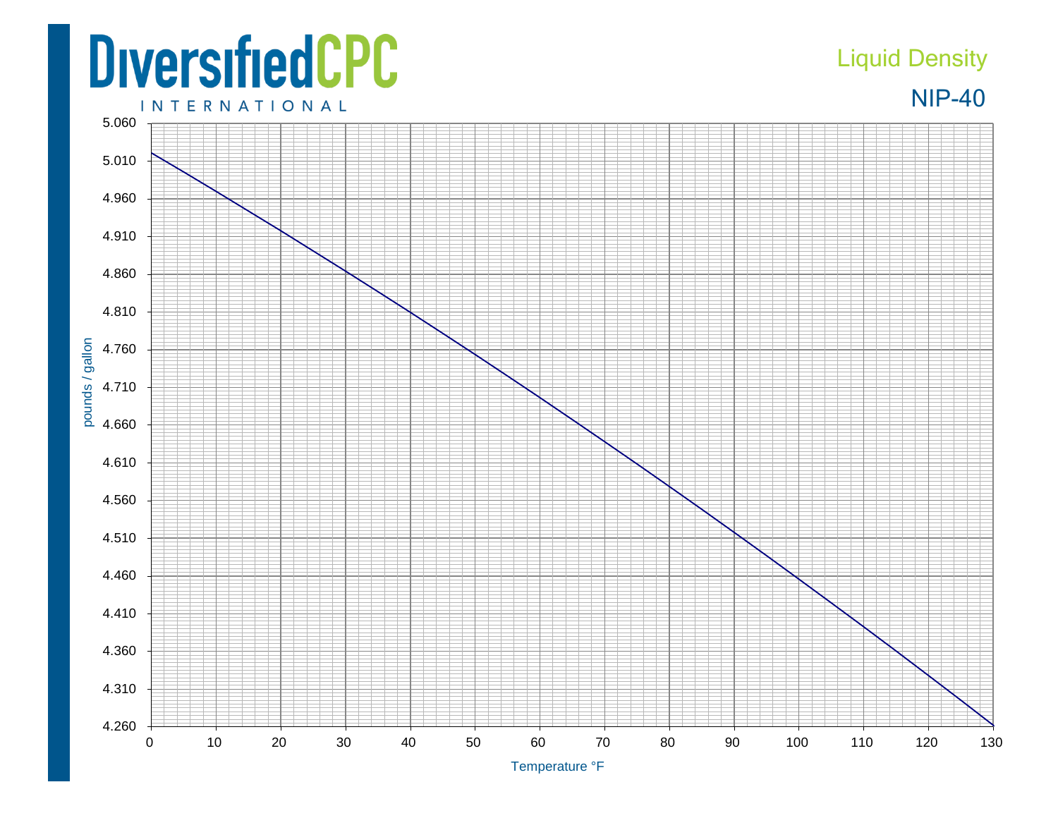## **DiversifiedCPC**

## Liquid Density



**INTERNATIONAL**